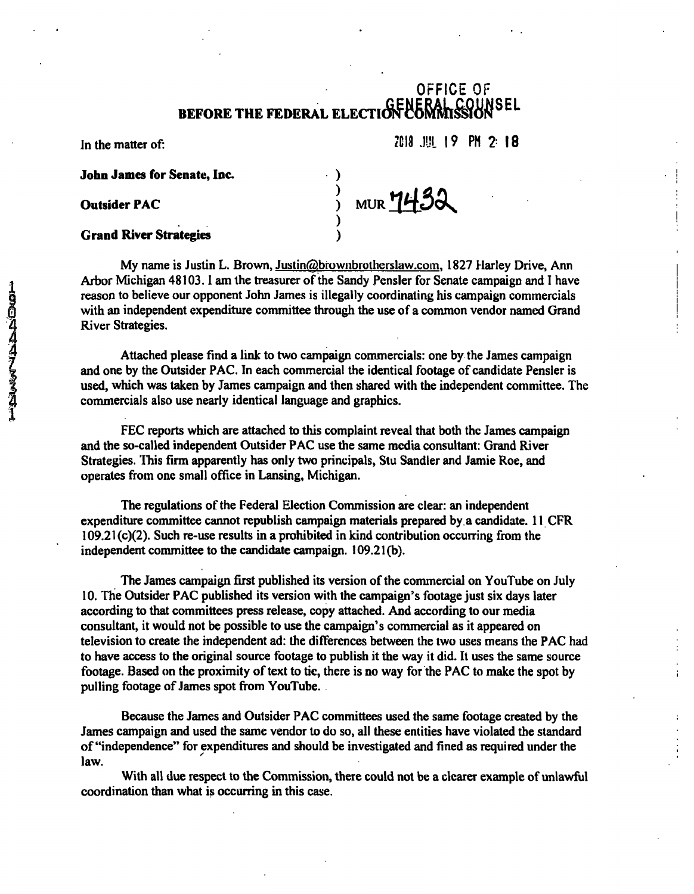### OFFICE OF BEFORE THE FEDERAL ELECTION COMMISSION

 $\frac{1}{2}$  MUR  $\frac{1432}{1}$ 

**In the matter of:** 2018 J.H. 19 PH 2: 18

**John James for Senate, Inc. )** 

**Outsider PAC** 

#### Grand River Strategies )

My name is Justin L. Brown, Justin@brownbrotherslaw.com, 1827 Harley Drive, Ann Arbor Michigan 48103.1 am the treasurer of the Sandy Pensler for Senate campaign and T have reason to believe our opponent John James is illegally coordinating his campaign commercials with an independent expenditure committee through the use of a common vendor named Grand River Strategies.

Attached please find a link to two campaign commercials: one by the James campaign and one by the Outsider PAC. In each commercial the identical footage of candidate Pensler is used, which was taken by James campaign and then shared with the independent committee. The commercials also use nearly identical language and graphics.

FEC reports which are attached to this complaint reveal that both the James campaign and the so-called independent Outsider PAC use the same media consultant: Grand River Strategies. This firm apparently has only two principals, Stu Sandler and Jamie Roe, and operates from one small office in Lansing, Michigan.

The regulations of the Federal Election Commission are clear: an independent expenditure committee cannot republish campaign materials prepared by. a candidate. 11 CFR 109.21 (c)(2). Such re-use results in a prohibited in kind contribution occurring from the independent committee to the candidate campaign. 109.21(b).

The James campaign first published its version of the commercial on YouTube on July 10. The Outsider PAC published its version with the campaign's footage just six days later according to that committees press release, copy attached. And according to our media consultant, it would not be possible to use the campaign's commercial as it appeared on television to create the independent ad: the differences between the two uses means the PAC had to have access to the original source footage to publish it the way it did. It uses the same source footage. Based on the proximity of text to tie, there is no way for the PAC to make the spot by pulling footage of James spot from YouTube. .

Because the James and Outsider PAC committees used the same footage created by the James campaign and used the same vendor to do so, all these entities have violated the standard of "independence" for expenditures and should be investigated and fined as required under the law.

With all due respect to the Commission, there could not be a clearer example of unlawful coordination than what is occurring in this case.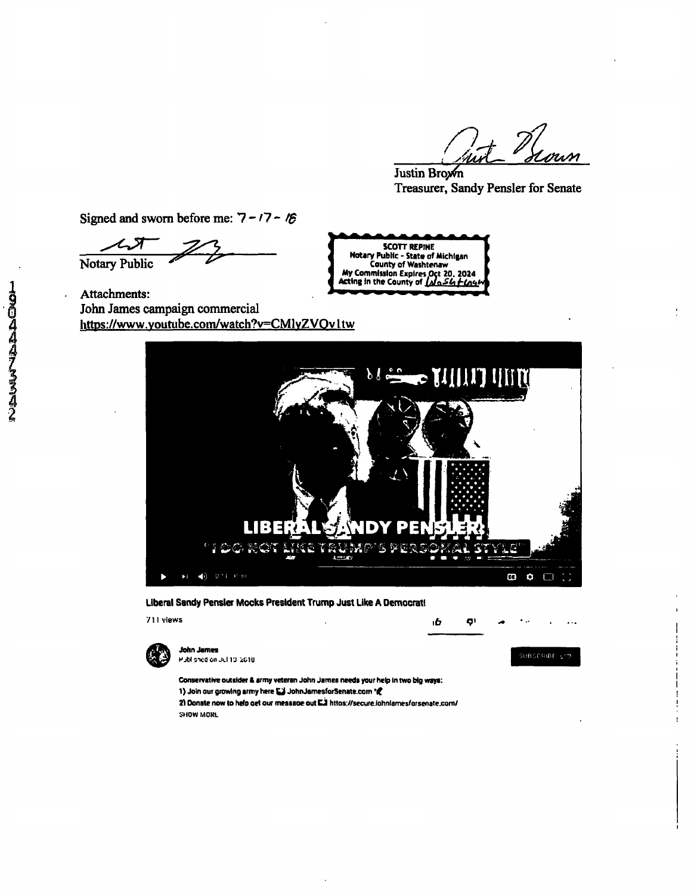nut Hour

Justin Brown Treasurer, Sandy Pensler for Senate

*Signed and sworn before me: 7 - '7 - !\$* 

*Notary Public ^* 

Attachments: John James campaign commercial https://www.youtube.com/watch?v=CMlyZVOvltw **My Commission Expires Oct 20, 2024**<br>**Acting in the County of** *INGSU + Litum* 



**SCOTT REPINE Notary Public - State of Michigan County of Washtenaw** 

#### **Liberal Sandy Pensler Mocks President Trump Just Like A Democrati**

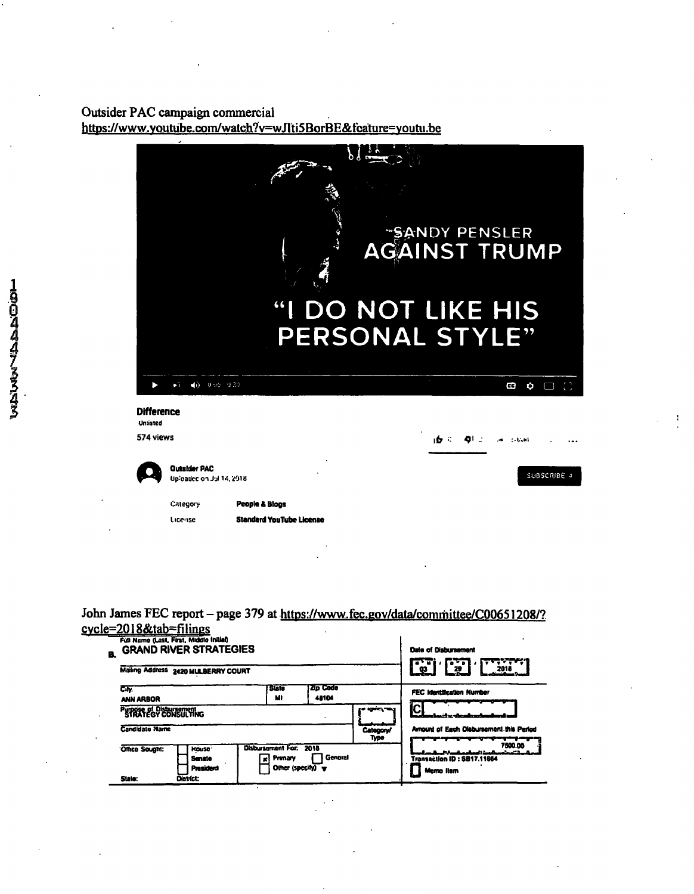# Outsider PAC campaign commercial<br>https://www.youtube.com/watch?v=wJlti5BorBE&fcature=youtu.be

|                               |                                        |                                 | b                                     |      |             |  |
|-------------------------------|----------------------------------------|---------------------------------|---------------------------------------|------|-------------|--|
|                               |                                        |                                 | Ā                                     |      |             |  |
|                               |                                        |                                 |                                       |      |             |  |
|                               |                                        |                                 |                                       |      |             |  |
|                               |                                        |                                 |                                       |      |             |  |
|                               |                                        |                                 | <b>SANDY PENSLER</b><br>AGAINST TRUMP |      |             |  |
|                               |                                        |                                 |                                       |      |             |  |
|                               |                                        | $\mathbf{G}$                    | <b>DO NOT LIKE HIS</b>                |      |             |  |
|                               |                                        |                                 | PERSONAL STYLE"                       |      |             |  |
|                               |                                        |                                 |                                       |      |             |  |
|                               | $\blacktriangleleft$ ) 0.06 0.30<br>ьi |                                 |                                       |      | BG<br>O     |  |
|                               |                                        |                                 |                                       |      |             |  |
| <b>Difference</b><br>Unsisted |                                        |                                 |                                       |      |             |  |
| 574 views                     |                                        |                                 |                                       | ıb ≍ |             |  |
|                               | <b>Outsider PAC</b>                    |                                 |                                       |      |             |  |
|                               | Uploaded on Jul 14, 2018               |                                 |                                       |      | SUBSCRIBE 4 |  |
|                               | Category                               | People & Blogs                  |                                       |      |             |  |
|                               | License                                | <b>Standard YouTube License</b> |                                       |      |             |  |
|                               |                                        |                                 |                                       |      |             |  |

John James FEC report – page 379 at https://www.fec.gov/data/committee/C00651208/?<br>cycle=2018&tab=filings

| B. |                                                                                                                                                                     | Full Name (Last, First, Middle Initial)<br><b>GRAND RIVER STRATEGIES</b> | Date of Disbursement<br>$\overline{1}$<br>n Ti |                   |                                         |                                                    |  |
|----|---------------------------------------------------------------------------------------------------------------------------------------------------------------------|--------------------------------------------------------------------------|------------------------------------------------|-------------------|-----------------------------------------|----------------------------------------------------|--|
|    |                                                                                                                                                                     | Mailing Address 2420 MULBERRY COURT                                      | 2018<br>29<br>오                                |                   |                                         |                                                    |  |
|    | City<br>ANN ARBOR                                                                                                                                                   |                                                                          | <b>Sule</b><br>MI                              | Zip Code<br>48104 |                                         | <b>FEC Identification Number</b>                   |  |
|    | PUPPER of Disbursement                                                                                                                                              |                                                                          |                                                | وتعدادهم مواد     | المستقدمات مدانف                        |                                                    |  |
|    | <b>Candidate Name</b>                                                                                                                                               |                                                                          |                                                | Category/<br>Type | Amount of Each Olabursament this Period |                                                    |  |
|    | <b>Disbursement For. 2018</b><br>Office Sought:<br><b>House</b><br>General<br>Primary<br><b>Senate</b><br>xł<br>Other (specify)<br>President<br>District:<br>State: |                                                                          |                                                |                   |                                         | 7500.00<br>Transaction ID: SB17.11664<br>Memo Ilam |  |